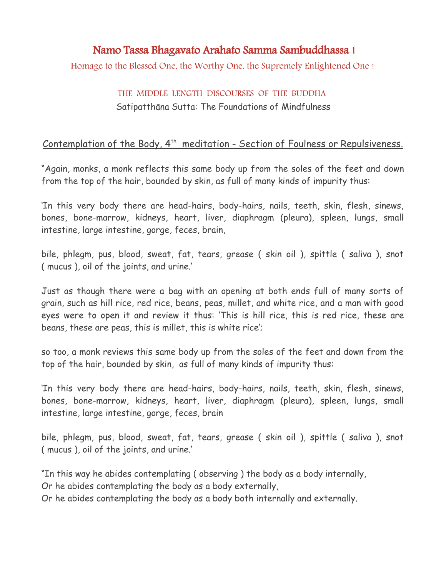## Namo Tassa Bhagavato Arahato Samma Sambuddhassa !

Homage to the Blessed One, the Worthy One, the Supremely Enlightened One !

## THE MIDDLE LENGTH DISCOURSES OF THE BUDDHA Satipatthāna Sutta: The Foundations of Mindfulness

## Contemplation of the Body, 4<sup>th</sup> meditation - Section of Foulness or Repulsiveness.

"Again, monks, a monk reflects this same body up from the soles of the feet and down from the top of the hair, bounded by skin, as full of many kinds of impurity thus:

'In this very body there are head-hairs, body-hairs, nails, teeth, skin, flesh, sinews, bones, bone-marrow, kidneys, heart, liver, diaphragm (pleura), spleen, lungs, small intestine, large intestine, gorge, feces, brain,

bile, phlegm, pus, blood, sweat, fat, tears, grease ( skin oil ), spittle ( saliva ), snot ( mucus ), oil of the joints, and urine.'

Just as though there were a bag with an opening at both ends full of many sorts of grain, such as hill rice, red rice, beans, peas, millet, and white rice, and a man with good eyes were to open it and review it thus: 'This is hill rice, this is red rice, these are beans, these are peas, this is millet, this is white rice';

so too, a monk reviews this same body up from the soles of the feet and down from the top of the hair, bounded by skin, as full of many kinds of impurity thus:

'In this very body there are head-hairs, body-hairs, nails, teeth, skin, flesh, sinews, bones, bone-marrow, kidneys, heart, liver, diaphragm (pleura), spleen, lungs, small intestine, large intestine, gorge, feces, brain

bile, phlegm, pus, blood, sweat, fat, tears, grease ( skin oil ), spittle ( saliva ), snot ( mucus ), oil of the joints, and urine.'

"In this way he abides contemplating ( observing ) the body as a body internally, Or he abides contemplating the body as a body externally,

Or he abides contemplating the body as a body both internally and externally.